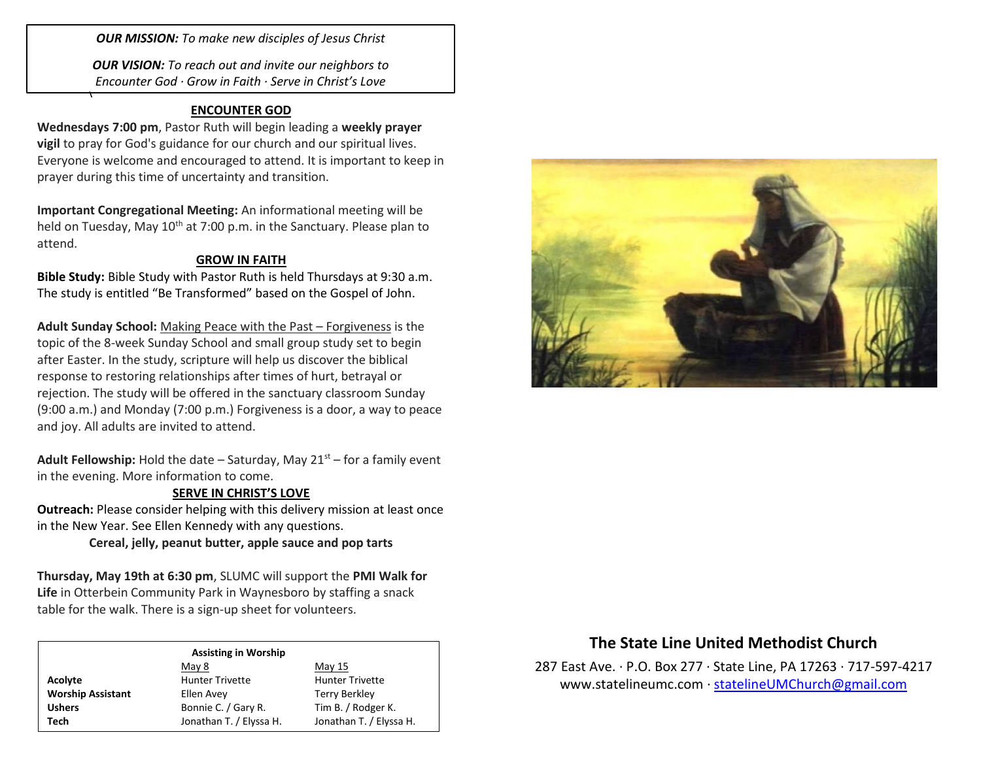*OUR MISSION: To make new disciples of Jesus Christ*

*OUR VISION: To reach out and invite our neighbors to Encounter God · Grow in Faith · Serve in Christ's Love*

## **ENCOUNTER GOD**

 $\overline{a}$ 

**Wednesdays 7:00 pm**, Pastor Ruth will begin leading a **weekly prayer vigil** to pray for God's guidance for our church and our spiritual lives. Everyone is welcome and encouraged to attend. It is important to keep in prayer during this time of uncertainty and transition.

**Important Congregational Meeting:** An informational meeting will be held on Tuesday, May 10<sup>th</sup> at 7:00 p.m. in the Sanctuary. Please plan to attend.

## **GROW IN FAITH**

**Bible Study:** Bible Study with Pastor Ruth is held Thursdays at 9:30 a.m. The study is entitled "Be Transformed" based on the Gospel of John.

**Adult Sunday School:** Making Peace with the Past – Forgiveness is the topic of the 8-week Sunday School and small group study set to begin after Easter. In the study, scripture will help us discover the biblical response to restoring relationships after times of hurt, betrayal or rejection. The study will be offered in the sanctuary classroom Sunday (9:00 a.m.) and Monday (7:00 p.m.) Forgiveness is a door, a way to peace and joy. All adults are invited to attend.

**Adult Fellowship:** Hold the date – Saturday, May  $21<sup>st</sup>$  – for a family event in the evening. More information to come.

### **SERVE IN CHRIST'S LOVE**

**Outreach:** Please consider helping with this delivery mission at least once in the New Year. See Ellen Kennedy with any questions.

**Cereal, jelly, peanut butter, apple sauce and pop tarts**

**Thursday, May 19th at 6:30 pm**, SLUMC will support the **PMI Walk for Life** in Otterbein Community Park in Waynesboro by staffing a snack table for the walk. There is a sign-up sheet for volunteers.

#### **Assisting in Worship**

|                          | May 8                   | May 15                  |
|--------------------------|-------------------------|-------------------------|
| Acolyte                  | <b>Hunter Trivette</b>  | <b>Hunter Trivette</b>  |
| <b>Worship Assistant</b> | Ellen Avey              | Terry Berkley           |
| <b>Ushers</b>            | Bonnie C. / Gary R.     | Tim B. / Rodger K.      |
| Tech                     | Jonathan T. / Elyssa H. | Jonathan T. / Elyssa H. |



# **The State Line United Methodist Church**

287 East Ave. · P.O. Box 277 · State Line, PA 17263 · 717-597-4217 [www.statelineumc.com](http://www.statelineumc.com/) · [statelineUMChurch@gmail.com](mailto:statelineUMChurch@gmail.com)